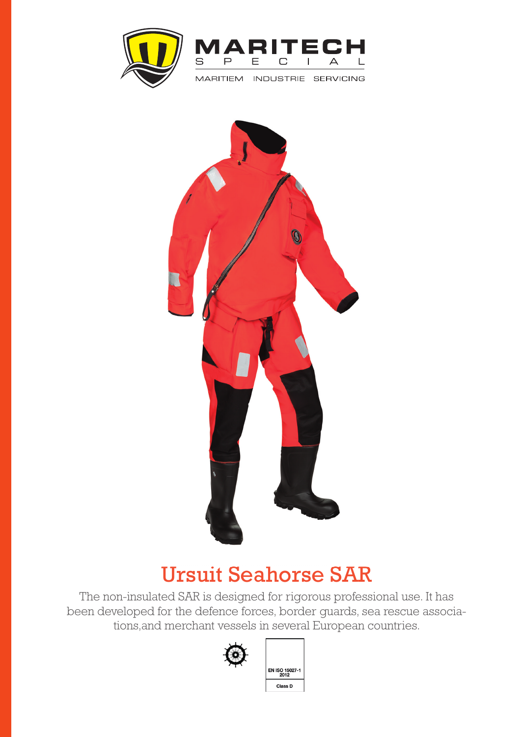



MARITIEM INDUSTRIE SERVICING



## Ursuit Seahorse SAR

 The non-insulated SAR is designed for rigorous professional use. It has been developed for the defence forces, border guards, sea rescue associations,and merchant vessels in several European countries.